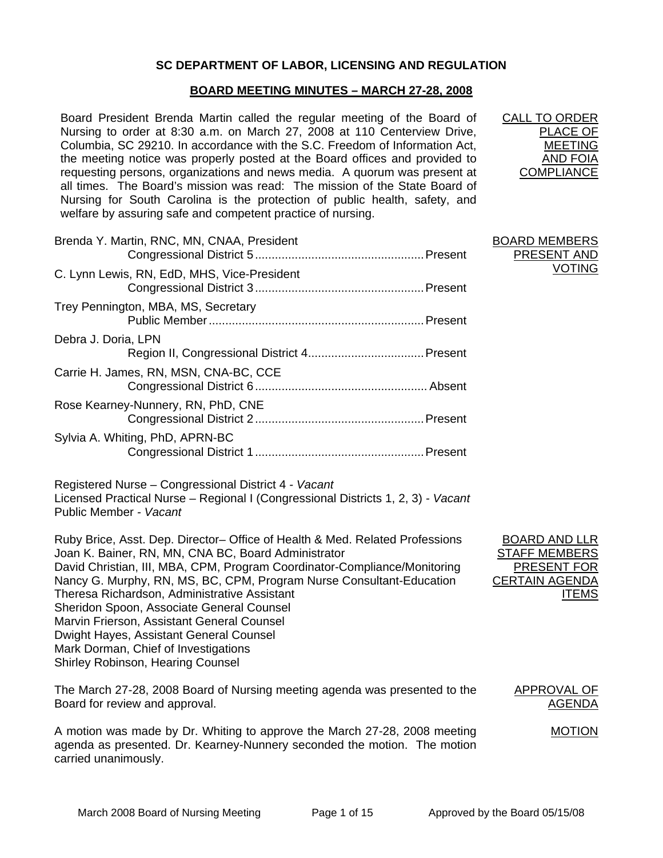# **SC DEPARTMENT OF LABOR, LICENSING AND REGULATION**

## **BOARD MEETING MINUTES – MARCH 27-28, 2008**

Board President Brenda Martin called the regular meeting of the Board of Nursing to order at 8:30 a.m. on March 27, 2008 at 110 Centerview Drive, Columbia, SC 29210. In accordance with the S.C. Freedom of Information Act, the meeting notice was properly posted at the Board offices and provided to requesting persons, organizations and news media. A quorum was present at all times. The Board's mission was read: The mission of the State Board of Nursing for South Carolina is the protection of public health, safety, and welfare by assuring safe and competent practice of nursing.

| Brenda Y. Martin, RNC, MN, CNAA, President  |  |
|---------------------------------------------|--|
| C. Lynn Lewis, RN, EdD, MHS, Vice-President |  |
| Trey Pennington, MBA, MS, Secretary         |  |
| Debra J. Doria, LPN                         |  |
| Carrie H. James, RN, MSN, CNA-BC, CCE       |  |
| Rose Kearney-Nunnery, RN, PhD, CNE          |  |
| Sylvia A. Whiting, PhD, APRN-BC             |  |
|                                             |  |

Registered Nurse – Congressional District 4 *- Vacant* Licensed Practical Nurse – Regional I (Congressional Districts 1, 2, 3) *- Vacant* Public Member *- Vacant*

Ruby Brice, Asst. Dep. Director– Office of Health & Med. Related Professions Joan K. Bainer, RN, MN, CNA BC, Board Administrator David Christian, III, MBA, CPM, Program Coordinator-Compliance/Monitoring Nancy G. Murphy, RN, MS, BC, CPM, Program Nurse Consultant-Education Theresa Richardson, Administrative Assistant Sheridon Spoon, Associate General Counsel Marvin Frierson, Assistant General Counsel Dwight Hayes, Assistant General Counsel Mark Dorman, Chief of Investigations Shirley Robinson, Hearing Counsel

The March 27-28, 2008 Board of Nursing meeting agenda was presented to the Board for review and approval. APPROVAL OF

A motion was made by Dr. Whiting to approve the March 27-28, 2008 meeting agenda as presented. Dr. Kearney-Nunnery seconded the motion. The motion carried unanimously. MOTION

| <b>CALL TO ORDER</b> |
|----------------------|
| PLACE OF             |
| MEETING              |
| AND FOIA             |
| <b>COMPLIANCE</b>    |
|                      |

BOARD MEMBERS PRESENT AND

VOTING

CALL TO ORDER

| <b>BOARD AND LLR</b>  |
|-----------------------|
| <b>STAFF MEMBERS</b>  |
| PRESENT FOR           |
| <b>CERTAIN AGENDA</b> |
| ITEMS                 |

AGENDA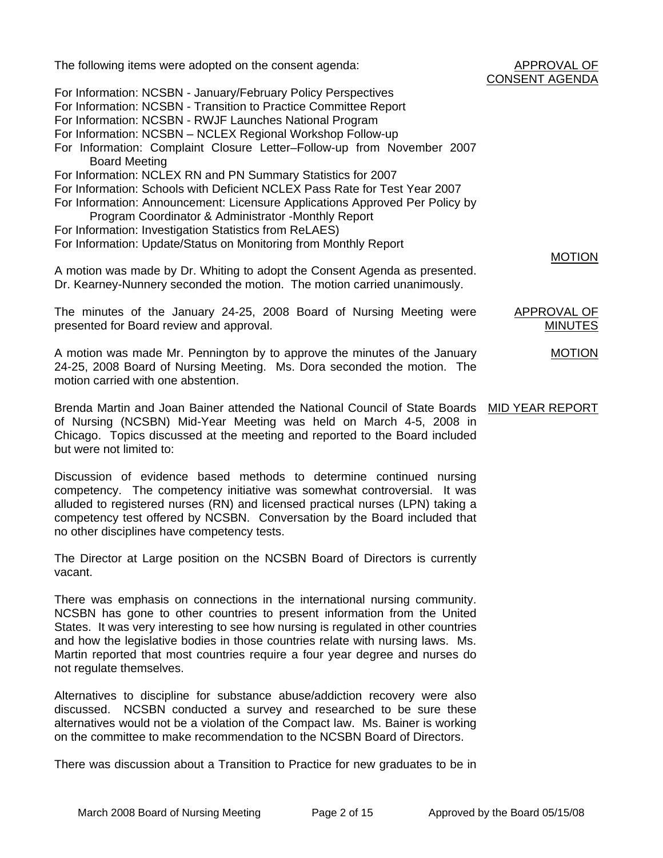| The following items were adopted on the consent agenda:                                                                                                                                                                                                                           | APPROVAL OF<br><b>CONSENT AGENDA</b> |
|-----------------------------------------------------------------------------------------------------------------------------------------------------------------------------------------------------------------------------------------------------------------------------------|--------------------------------------|
| For Information: NCSBN - January/February Policy Perspectives<br>For Information: NCSBN - Transition to Practice Committee Report<br>For Information: NCSBN - RWJF Launches National Program                                                                                      |                                      |
| For Information: NCSBN - NCLEX Regional Workshop Follow-up<br>For Information: Complaint Closure Letter-Follow-up from November 2007<br><b>Board Meeting</b>                                                                                                                      |                                      |
| For Information: NCLEX RN and PN Summary Statistics for 2007<br>For Information: Schools with Deficient NCLEX Pass Rate for Test Year 2007<br>For Information: Announcement: Licensure Applications Approved Per Policy by<br>Program Coordinator & Administrator -Monthly Report |                                      |
| For Information: Investigation Statistics from ReLAES)<br>For Information: Update/Status on Monitoring from Monthly Report                                                                                                                                                        |                                      |
| A motion was made by Dr. Whiting to adopt the Consent Agenda as presented.<br>Dr. Kearney-Nunnery seconded the motion. The motion carried unanimously.                                                                                                                            | <b>MOTION</b>                        |
| The minutes of the January 24-25, 2008 Board of Nursing Meeting were<br>presented for Board review and approval.                                                                                                                                                                  | <b>APPROVAL OF</b><br><b>MINUTES</b> |
| A motion was made Mr. Pennington by to approve the minutes of the January<br>24-25, 2008 Board of Nursing Meeting. Ms. Dora seconded the motion. The<br>motion carried with one abstention.                                                                                       | <b>MOTION</b>                        |
| Brenda Martin and Joan Bainer attended the National Council of State Boards MID YEAR REPORT<br>of Nursing (NCSBN) Mid-Year Meeting was held on March 4-5, 2008 in<br>Chicago. Topics discussed at the meeting and reported to the Board included<br>but were not limited to:      |                                      |

Discussion of evidence based methods to determine continued nursing competency. The competency initiative was somewhat controversial. It was alluded to registered nurses (RN) and licensed practical nurses (LPN) taking a competency test offered by NCSBN. Conversation by the Board included that no other disciplines have competency tests.

The Director at Large position on the NCSBN Board of Directors is currently vacant.

There was emphasis on connections in the international nursing community. NCSBN has gone to other countries to present information from the United States. It was very interesting to see how nursing is regulated in other countries and how the legislative bodies in those countries relate with nursing laws. Ms. Martin reported that most countries require a four year degree and nurses do not regulate themselves.

Alternatives to discipline for substance abuse/addiction recovery were also discussed. NCSBN conducted a survey and researched to be sure these alternatives would not be a violation of the Compact law. Ms. Bainer is working on the committee to make recommendation to the NCSBN Board of Directors.

There was discussion about a Transition to Practice for new graduates to be in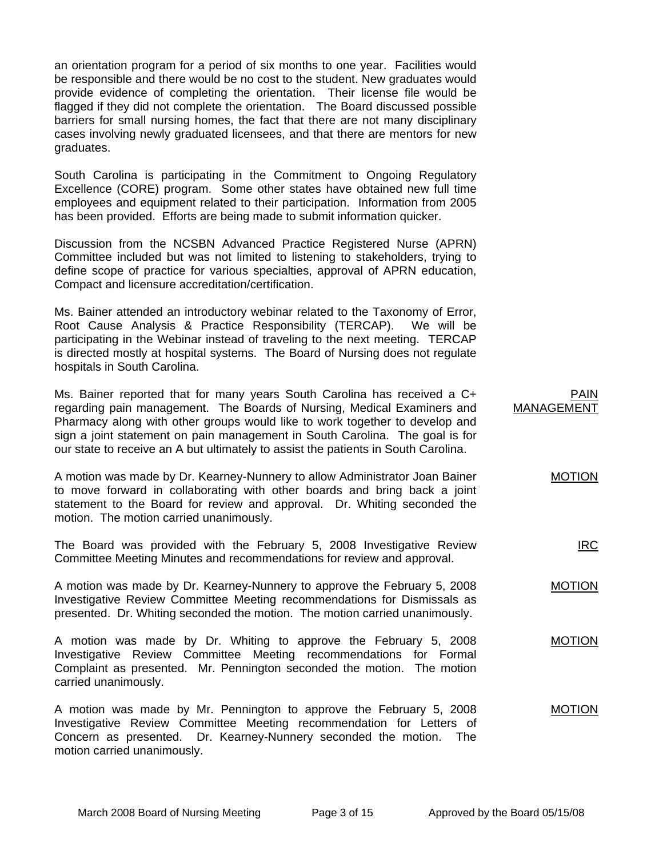an orientation program for a period of six months to one year. Facilities would be responsible and there would be no cost to the student. New graduates would provide evidence of completing the orientation. Their license file would be flagged if they did not complete the orientation. The Board discussed possible barriers for small nursing homes, the fact that there are not many disciplinary cases involving newly graduated licensees, and that there are mentors for new graduates.

South Carolina is participating in the Commitment to Ongoing Regulatory Excellence (CORE) program. Some other states have obtained new full time employees and equipment related to their participation. Information from 2005 has been provided. Efforts are being made to submit information quicker.

Discussion from the NCSBN Advanced Practice Registered Nurse (APRN) Committee included but was not limited to listening to stakeholders, trying to define scope of practice for various specialties, approval of APRN education, Compact and licensure accreditation/certification.

Ms. Bainer attended an introductory webinar related to the Taxonomy of Error, Root Cause Analysis & Practice Responsibility (TERCAP). We will be participating in the Webinar instead of traveling to the next meeting. TERCAP is directed mostly at hospital systems. The Board of Nursing does not regulate hospitals in South Carolina.

Ms. Bainer reported that for many years South Carolina has received a C+ regarding pain management. The Boards of Nursing, Medical Examiners and Pharmacy along with other groups would like to work together to develop and sign a joint statement on pain management in South Carolina. The goal is for our state to receive an A but ultimately to assist the patients in South Carolina. PAIN MANAGEMENT

A motion was made by Dr. Kearney-Nunnery to allow Administrator Joan Bainer to move forward in collaborating with other boards and bring back a joint statement to the Board for review and approval. Dr. Whiting seconded the motion. The motion carried unanimously. MOTION

The Board was provided with the February 5, 2008 Investigative Review Committee Meeting Minutes and recommendations for review and approval.

A motion was made by Dr. Kearney-Nunnery to approve the February 5, 2008 Investigative Review Committee Meeting recommendations for Dismissals as presented. Dr. Whiting seconded the motion. The motion carried unanimously. MOTION

A motion was made by Dr. Whiting to approve the February 5, 2008 Investigative Review Committee Meeting recommendations for Formal Complaint as presented. Mr. Pennington seconded the motion. The motion carried unanimously. MOTION

A motion was made by Mr. Pennington to approve the February 5, 2008 Investigative Review Committee Meeting recommendation for Letters of Concern as presented. Dr. Kearney-Nunnery seconded the motion. The motion carried unanimously. MOTION

IRC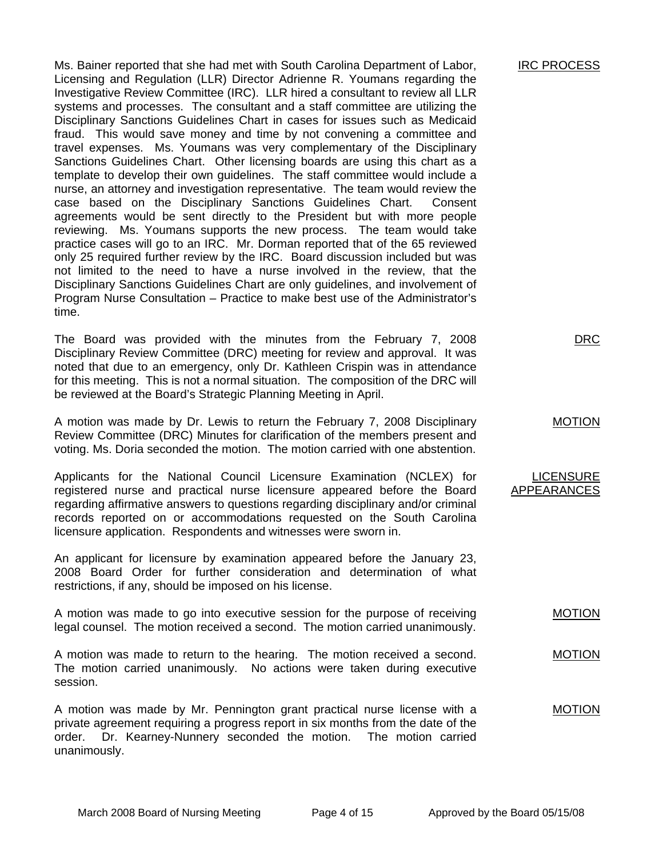Ms. Bainer reported that she had met with South Carolina Department of Labor, Licensing and Regulation (LLR) Director Adrienne R. Youmans regarding the Investigative Review Committee (IRC). LLR hired a consultant to review all LLR systems and processes. The consultant and a staff committee are utilizing the Disciplinary Sanctions Guidelines Chart in cases for issues such as Medicaid fraud. This would save money and time by not convening a committee and travel expenses. Ms. Youmans was very complementary of the Disciplinary Sanctions Guidelines Chart. Other licensing boards are using this chart as a template to develop their own guidelines. The staff committee would include a nurse, an attorney and investigation representative. The team would review the case based on the Disciplinary Sanctions Guidelines Chart. Consent agreements would be sent directly to the President but with more people reviewing. Ms. Youmans supports the new process. The team would take practice cases will go to an IRC. Mr. Dorman reported that of the 65 reviewed only 25 required further review by the IRC. Board discussion included but was not limited to the need to have a nurse involved in the review, that the Disciplinary Sanctions Guidelines Chart are only guidelines, and involvement of Program Nurse Consultation – Practice to make best use of the Administrator's time.

The Board was provided with the minutes from the February 7, 2008 Disciplinary Review Committee (DRC) meeting for review and approval. It was noted that due to an emergency, only Dr. Kathleen Crispin was in attendance for this meeting. This is not a normal situation. The composition of the DRC will be reviewed at the Board's Strategic Planning Meeting in April.

A motion was made by Dr. Lewis to return the February 7, 2008 Disciplinary Review Committee (DRC) Minutes for clarification of the members present and voting. Ms. Doria seconded the motion. The motion carried with one abstention.

Applicants for the National Council Licensure Examination (NCLEX) for registered nurse and practical nurse licensure appeared before the Board regarding affirmative answers to questions regarding disciplinary and/or criminal records reported on or accommodations requested on the South Carolina licensure application. Respondents and witnesses were sworn in.

An applicant for licensure by examination appeared before the January 23, 2008 Board Order for further consideration and determination of what restrictions, if any, should be imposed on his license.

A motion was made to go into executive session for the purpose of receiving legal counsel. The motion received a second. The motion carried unanimously. MOTION

A motion was made to return to the hearing. The motion received a second. The motion carried unanimously. No actions were taken during executive session.

A motion was made by Mr. Pennington grant practical nurse license with a private agreement requiring a progress report in six months from the date of the order. Dr. Kearney-Nunnery seconded the motion. The motion carried unanimously.

DRC

MOTION

LICENSURE APPEARANCES

MOTION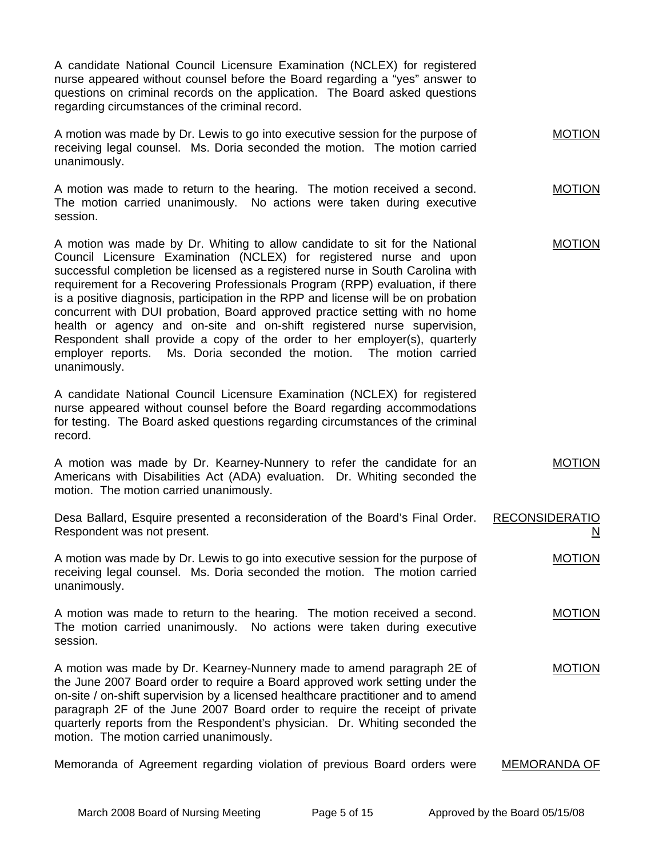A candidate National Council Licensure Examination (NCLEX) for registered nurse appeared without counsel before the Board regarding a "yes" answer to questions on criminal records on the application. The Board asked questions regarding circumstances of the criminal record.

| A motion was made by Dr. Lewis to go into executive session for the purpose of |                                                                            | <b>MOTION</b> |
|--------------------------------------------------------------------------------|----------------------------------------------------------------------------|---------------|
|                                                                                | receiving legal counsel. Ms. Doria seconded the motion. The motion carried |               |
| unanimously.                                                                   |                                                                            |               |

A motion was made to return to the hearing. The motion received a second. The motion carried unanimously. No actions were taken during executive session. MOTION

A motion was made by Dr. Whiting to allow candidate to sit for the National Council Licensure Examination (NCLEX) for registered nurse and upon successful completion be licensed as a registered nurse in South Carolina with requirement for a Recovering Professionals Program (RPP) evaluation, if there is a positive diagnosis, participation in the RPP and license will be on probation concurrent with DUI probation, Board approved practice setting with no home health or agency and on-site and on-shift registered nurse supervision, Respondent shall provide a copy of the order to her employer(s), quarterly employer reports. Ms. Doria seconded the motion. The motion carried unanimously. MOTION

A candidate National Council Licensure Examination (NCLEX) for registered nurse appeared without counsel before the Board regarding accommodations for testing. The Board asked questions regarding circumstances of the criminal record.

A motion was made by Dr. Kearney-Nunnery to refer the candidate for an Americans with Disabilities Act (ADA) evaluation. Dr. Whiting seconded the motion. The motion carried unanimously. MOTION

Desa Ballard, Esquire presented a reconsideration of the Board's Final Order. Respondent was not present. RECONSIDERATIO N

A motion was made by Dr. Lewis to go into executive session for the purpose of receiving legal counsel. Ms. Doria seconded the motion. The motion carried unanimously. MOTION

A motion was made to return to the hearing. The motion received a second. The motion carried unanimously. No actions were taken during executive session. MOTION

A motion was made by Dr. Kearney-Nunnery made to amend paragraph 2E of the June 2007 Board order to require a Board approved work setting under the on-site / on-shift supervision by a licensed healthcare practitioner and to amend paragraph 2F of the June 2007 Board order to require the receipt of private quarterly reports from the Respondent's physician. Dr. Whiting seconded the motion. The motion carried unanimously. MOTION

Memoranda of Agreement regarding violation of previous Board orders were MEMORANDA OF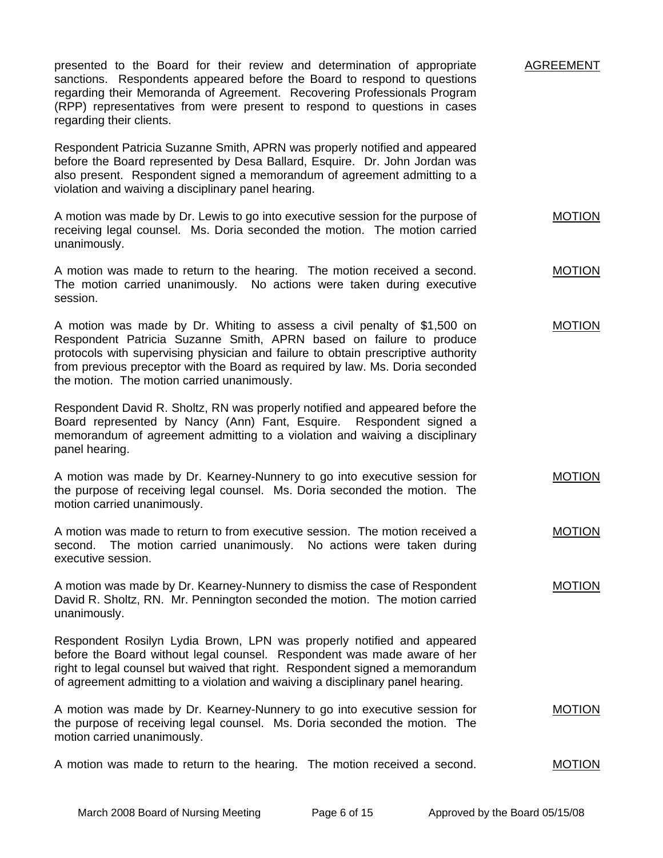| presented to the Board for their review and determination of appropriate<br>sanctions. Respondents appeared before the Board to respond to questions<br>regarding their Memoranda of Agreement. Recovering Professionals Program<br>(RPP) representatives from were present to respond to questions in cases<br>regarding their clients.                             | AGREEMENT     |
|----------------------------------------------------------------------------------------------------------------------------------------------------------------------------------------------------------------------------------------------------------------------------------------------------------------------------------------------------------------------|---------------|
| Respondent Patricia Suzanne Smith, APRN was properly notified and appeared<br>before the Board represented by Desa Ballard, Esquire. Dr. John Jordan was<br>also present. Respondent signed a memorandum of agreement admitting to a<br>violation and waiving a disciplinary panel hearing.                                                                          |               |
| A motion was made by Dr. Lewis to go into executive session for the purpose of<br>receiving legal counsel. Ms. Doria seconded the motion. The motion carried<br>unanimously.                                                                                                                                                                                         | <b>MOTION</b> |
| A motion was made to return to the hearing. The motion received a second.<br>The motion carried unanimously. No actions were taken during executive<br>session.                                                                                                                                                                                                      | <b>MOTION</b> |
| A motion was made by Dr. Whiting to assess a civil penalty of \$1,500 on<br>Respondent Patricia Suzanne Smith, APRN based on failure to produce<br>protocols with supervising physician and failure to obtain prescriptive authority<br>from previous preceptor with the Board as required by law. Ms. Doria seconded<br>the motion. The motion carried unanimously. | <b>MOTION</b> |
| Respondent David R. Sholtz, RN was properly notified and appeared before the<br>Board represented by Nancy (Ann) Fant, Esquire. Respondent signed a<br>memorandum of agreement admitting to a violation and waiving a disciplinary<br>panel hearing.                                                                                                                 |               |
| A motion was made by Dr. Kearney-Nunnery to go into executive session for<br>the purpose of receiving legal counsel. Ms. Doria seconded the motion. The<br>motion carried unanimously.                                                                                                                                                                               | <b>MOTION</b> |
| A motion was made to return to from executive session. The motion received a<br>second. The motion carried unanimously. No actions were taken during<br>executive session.                                                                                                                                                                                           | <b>MOTION</b> |
| A motion was made by Dr. Kearney-Nunnery to dismiss the case of Respondent<br>David R. Sholtz, RN. Mr. Pennington seconded the motion. The motion carried<br>unanimously.                                                                                                                                                                                            | <b>MOTION</b> |
| Respondent Rosilyn Lydia Brown, LPN was properly notified and appeared<br>before the Board without legal counsel. Respondent was made aware of her<br>right to legal counsel but waived that right. Respondent signed a memorandum<br>of agreement admitting to a violation and waiving a disciplinary panel hearing.                                                |               |
| A motion was made by Dr. Kearney-Nunnery to go into executive session for<br>the purpose of receiving legal counsel. Ms. Doria seconded the motion. The<br>motion carried unanimously.                                                                                                                                                                               | <b>MOTION</b> |
| A motion was made to return to the hearing. The motion received a second.                                                                                                                                                                                                                                                                                            | <b>MOTION</b> |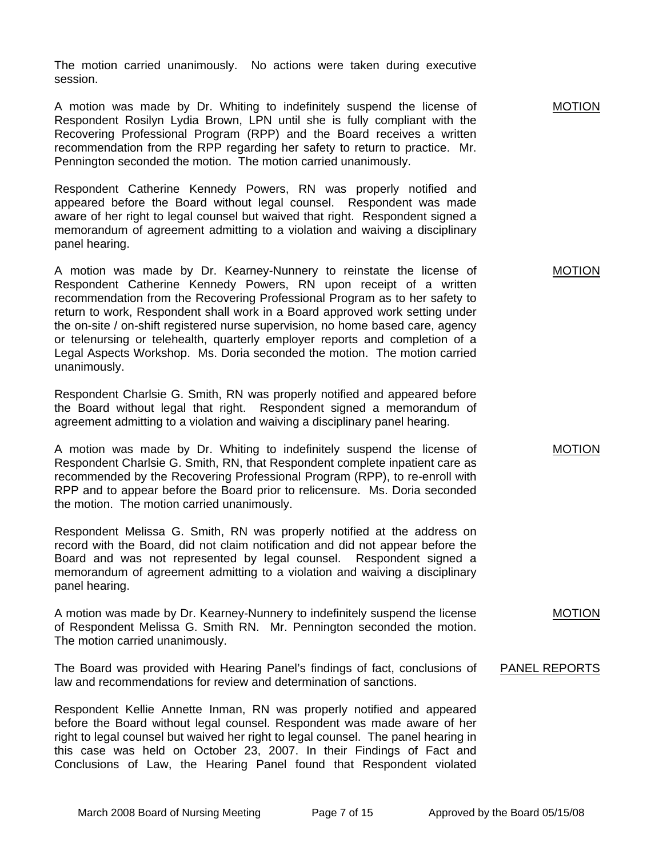The motion carried unanimously. No actions were taken during executive session.

A motion was made by Dr. Whiting to indefinitely suspend the license of Respondent Rosilyn Lydia Brown, LPN until she is fully compliant with the Recovering Professional Program (RPP) and the Board receives a written recommendation from the RPP regarding her safety to return to practice. Mr. Pennington seconded the motion. The motion carried unanimously.

Respondent Catherine Kennedy Powers, RN was properly notified and appeared before the Board without legal counsel. Respondent was made aware of her right to legal counsel but waived that right. Respondent signed a memorandum of agreement admitting to a violation and waiving a disciplinary panel hearing.

A motion was made by Dr. Kearney-Nunnery to reinstate the license of Respondent Catherine Kennedy Powers, RN upon receipt of a written recommendation from the Recovering Professional Program as to her safety to return to work, Respondent shall work in a Board approved work setting under the on-site / on-shift registered nurse supervision, no home based care, agency or telenursing or telehealth, quarterly employer reports and completion of a Legal Aspects Workshop. Ms. Doria seconded the motion. The motion carried unanimously.

Respondent Charlsie G. Smith, RN was properly notified and appeared before the Board without legal that right. Respondent signed a memorandum of agreement admitting to a violation and waiving a disciplinary panel hearing.

A motion was made by Dr. Whiting to indefinitely suspend the license of Respondent Charlsie G. Smith, RN, that Respondent complete inpatient care as recommended by the Recovering Professional Program (RPP), to re-enroll with RPP and to appear before the Board prior to relicensure. Ms. Doria seconded the motion. The motion carried unanimously.

Respondent Melissa G. Smith, RN was properly notified at the address on record with the Board, did not claim notification and did not appear before the Board and was not represented by legal counsel. Respondent signed a memorandum of agreement admitting to a violation and waiving a disciplinary panel hearing.

A motion was made by Dr. Kearney-Nunnery to indefinitely suspend the license of Respondent Melissa G. Smith RN. Mr. Pennington seconded the motion. The motion carried unanimously.

The Board was provided with Hearing Panel's findings of fact, conclusions of law and recommendations for review and determination of sanctions.

Respondent Kellie Annette Inman, RN was properly notified and appeared before the Board without legal counsel. Respondent was made aware of her right to legal counsel but waived her right to legal counsel. The panel hearing in this case was held on October 23, 2007. In their Findings of Fact and Conclusions of Law, the Hearing Panel found that Respondent violated MOTION

MOTION

MOTION

MOTION

PANEL REPORTS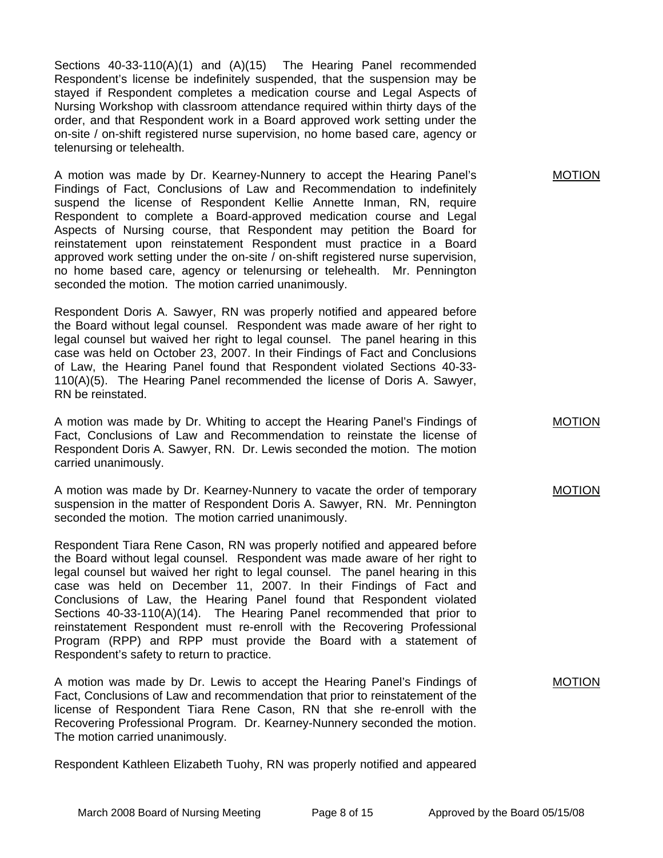Sections 40-33-110(A)(1) and (A)(15) The Hearing Panel recommended Respondent's license be indefinitely suspended, that the suspension may be stayed if Respondent completes a medication course and Legal Aspects of Nursing Workshop with classroom attendance required within thirty days of the order, and that Respondent work in a Board approved work setting under the on-site / on-shift registered nurse supervision, no home based care, agency or telenursing or telehealth.

A motion was made by Dr. Kearney-Nunnery to accept the Hearing Panel's Findings of Fact, Conclusions of Law and Recommendation to indefinitely suspend the license of Respondent Kellie Annette Inman, RN, require Respondent to complete a Board-approved medication course and Legal Aspects of Nursing course, that Respondent may petition the Board for reinstatement upon reinstatement Respondent must practice in a Board approved work setting under the on-site / on-shift registered nurse supervision, no home based care, agency or telenursing or telehealth. Mr. Pennington seconded the motion. The motion carried unanimously.

Respondent Doris A. Sawyer, RN was properly notified and appeared before the Board without legal counsel. Respondent was made aware of her right to legal counsel but waived her right to legal counsel. The panel hearing in this case was held on October 23, 2007. In their Findings of Fact and Conclusions of Law, the Hearing Panel found that Respondent violated Sections 40-33- 110(A)(5). The Hearing Panel recommended the license of Doris A. Sawyer, RN be reinstated.

A motion was made by Dr. Whiting to accept the Hearing Panel's Findings of Fact, Conclusions of Law and Recommendation to reinstate the license of Respondent Doris A. Sawyer, RN. Dr. Lewis seconded the motion. The motion carried unanimously.

A motion was made by Dr. Kearney-Nunnery to vacate the order of temporary suspension in the matter of Respondent Doris A. Sawyer, RN. Mr. Pennington seconded the motion. The motion carried unanimously.

Respondent Tiara Rene Cason, RN was properly notified and appeared before the Board without legal counsel. Respondent was made aware of her right to legal counsel but waived her right to legal counsel. The panel hearing in this case was held on December 11, 2007. In their Findings of Fact and Conclusions of Law, the Hearing Panel found that Respondent violated Sections 40-33-110(A)(14). The Hearing Panel recommended that prior to reinstatement Respondent must re-enroll with the Recovering Professional Program (RPP) and RPP must provide the Board with a statement of Respondent's safety to return to practice.

A motion was made by Dr. Lewis to accept the Hearing Panel's Findings of Fact, Conclusions of Law and recommendation that prior to reinstatement of the license of Respondent Tiara Rene Cason, RN that she re-enroll with the Recovering Professional Program. Dr. Kearney-Nunnery seconded the motion. The motion carried unanimously.

Respondent Kathleen Elizabeth Tuohy, RN was properly notified and appeared

MOTION

MOTION

MOTION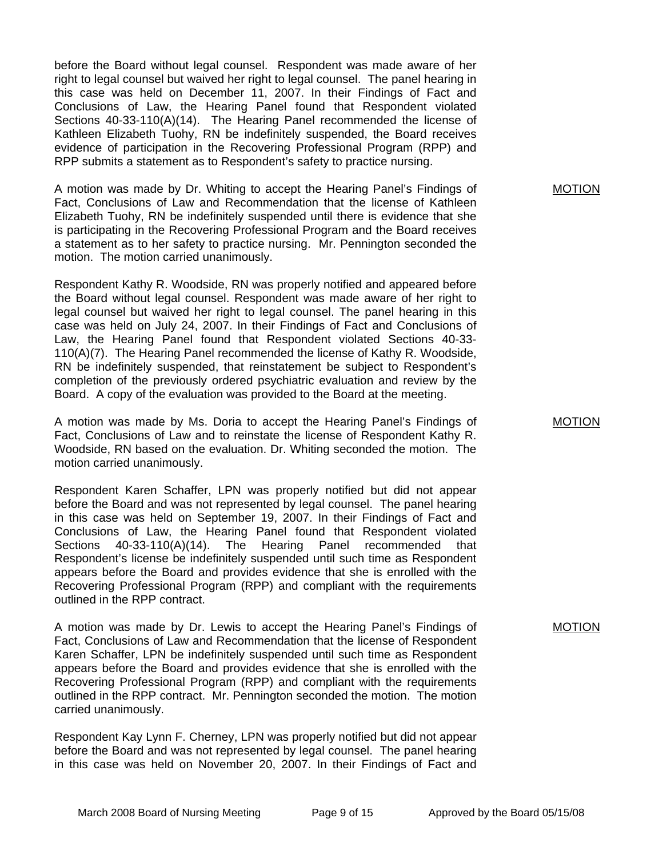before the Board without legal counsel. Respondent was made aware of her right to legal counsel but waived her right to legal counsel. The panel hearing in this case was held on December 11, 2007. In their Findings of Fact and Conclusions of Law, the Hearing Panel found that Respondent violated Sections 40-33-110(A)(14). The Hearing Panel recommended the license of Kathleen Elizabeth Tuohy, RN be indefinitely suspended, the Board receives evidence of participation in the Recovering Professional Program (RPP) and RPP submits a statement as to Respondent's safety to practice nursing.

A motion was made by Dr. Whiting to accept the Hearing Panel's Findings of Fact, Conclusions of Law and Recommendation that the license of Kathleen Elizabeth Tuohy, RN be indefinitely suspended until there is evidence that she is participating in the Recovering Professional Program and the Board receives a statement as to her safety to practice nursing. Mr. Pennington seconded the motion. The motion carried unanimously.

Respondent Kathy R. Woodside, RN was properly notified and appeared before the Board without legal counsel. Respondent was made aware of her right to legal counsel but waived her right to legal counsel. The panel hearing in this case was held on July 24, 2007. In their Findings of Fact and Conclusions of Law, the Hearing Panel found that Respondent violated Sections 40-33- 110(A)(7). The Hearing Panel recommended the license of Kathy R. Woodside, RN be indefinitely suspended, that reinstatement be subject to Respondent's completion of the previously ordered psychiatric evaluation and review by the Board. A copy of the evaluation was provided to the Board at the meeting.

A motion was made by Ms. Doria to accept the Hearing Panel's Findings of Fact, Conclusions of Law and to reinstate the license of Respondent Kathy R. Woodside, RN based on the evaluation. Dr. Whiting seconded the motion. The motion carried unanimously.

Respondent Karen Schaffer, LPN was properly notified but did not appear before the Board and was not represented by legal counsel. The panel hearing in this case was held on September 19, 2007. In their Findings of Fact and Conclusions of Law, the Hearing Panel found that Respondent violated Sections 40-33-110(A)(14). The Hearing Panel recommended that Respondent's license be indefinitely suspended until such time as Respondent appears before the Board and provides evidence that she is enrolled with the Recovering Professional Program (RPP) and compliant with the requirements outlined in the RPP contract.

A motion was made by Dr. Lewis to accept the Hearing Panel's Findings of Fact, Conclusions of Law and Recommendation that the license of Respondent Karen Schaffer, LPN be indefinitely suspended until such time as Respondent appears before the Board and provides evidence that she is enrolled with the Recovering Professional Program (RPP) and compliant with the requirements outlined in the RPP contract. Mr. Pennington seconded the motion. The motion carried unanimously.

Respondent Kay Lynn F. Cherney, LPN was properly notified but did not appear before the Board and was not represented by legal counsel. The panel hearing in this case was held on November 20, 2007. In their Findings of Fact and

MOTION

MOTION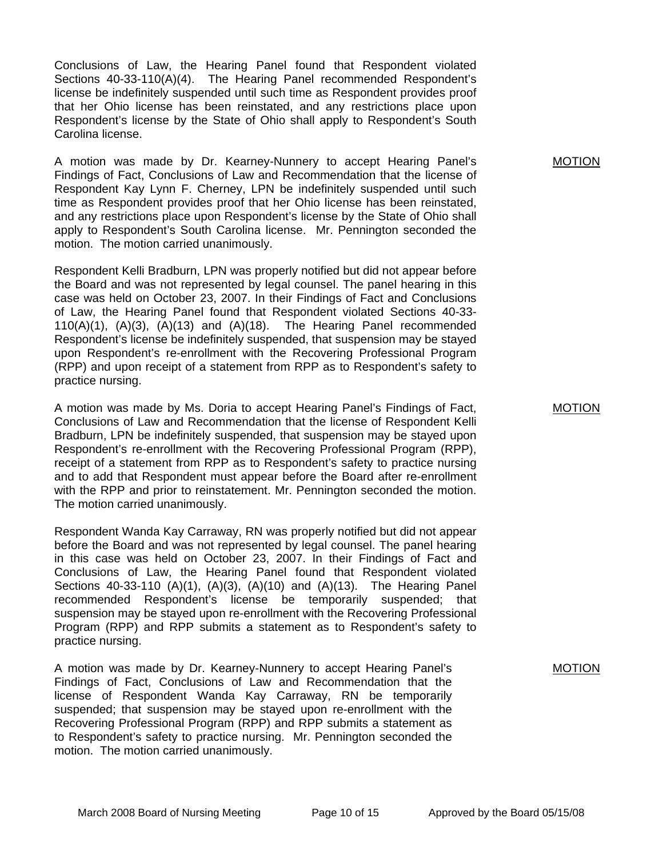Conclusions of Law, the Hearing Panel found that Respondent violated Sections 40-33-110(A)(4). The Hearing Panel recommended Respondent's license be indefinitely suspended until such time as Respondent provides proof that her Ohio license has been reinstated, and any restrictions place upon Respondent's license by the State of Ohio shall apply to Respondent's South Carolina license.

A motion was made by Dr. Kearney-Nunnery to accept Hearing Panel's Findings of Fact, Conclusions of Law and Recommendation that the license of Respondent Kay Lynn F. Cherney, LPN be indefinitely suspended until such time as Respondent provides proof that her Ohio license has been reinstated, and any restrictions place upon Respondent's license by the State of Ohio shall apply to Respondent's South Carolina license. Mr. Pennington seconded the motion. The motion carried unanimously.

Respondent Kelli Bradburn, LPN was properly notified but did not appear before the Board and was not represented by legal counsel. The panel hearing in this case was held on October 23, 2007. In their Findings of Fact and Conclusions of Law, the Hearing Panel found that Respondent violated Sections 40-33-  $110(A)(1)$ ,  $(A)(3)$ ,  $(A)(13)$  and  $(A)(18)$ . The Hearing Panel recommended Respondent's license be indefinitely suspended, that suspension may be stayed upon Respondent's re-enrollment with the Recovering Professional Program (RPP) and upon receipt of a statement from RPP as to Respondent's safety to practice nursing.

A motion was made by Ms. Doria to accept Hearing Panel's Findings of Fact, Conclusions of Law and Recommendation that the license of Respondent Kelli Bradburn, LPN be indefinitely suspended, that suspension may be stayed upon Respondent's re-enrollment with the Recovering Professional Program (RPP), receipt of a statement from RPP as to Respondent's safety to practice nursing and to add that Respondent must appear before the Board after re-enrollment with the RPP and prior to reinstatement. Mr. Pennington seconded the motion. The motion carried unanimously.

Respondent Wanda Kay Carraway, RN was properly notified but did not appear before the Board and was not represented by legal counsel. The panel hearing in this case was held on October 23, 2007. In their Findings of Fact and Conclusions of Law, the Hearing Panel found that Respondent violated Sections 40-33-110 (A)(1), (A)(3), (A)(10) and (A)(13). The Hearing Panel recommended Respondent's license be temporarily suspended; that suspension may be stayed upon re-enrollment with the Recovering Professional Program (RPP) and RPP submits a statement as to Respondent's safety to practice nursing.

A motion was made by Dr. Kearney-Nunnery to accept Hearing Panel's Findings of Fact, Conclusions of Law and Recommendation that the license of Respondent Wanda Kay Carraway, RN be temporarily suspended; that suspension may be stayed upon re-enrollment with the Recovering Professional Program (RPP) and RPP submits a statement as to Respondent's safety to practice nursing. Mr. Pennington seconded the motion. The motion carried unanimously.

MOTION

MOTION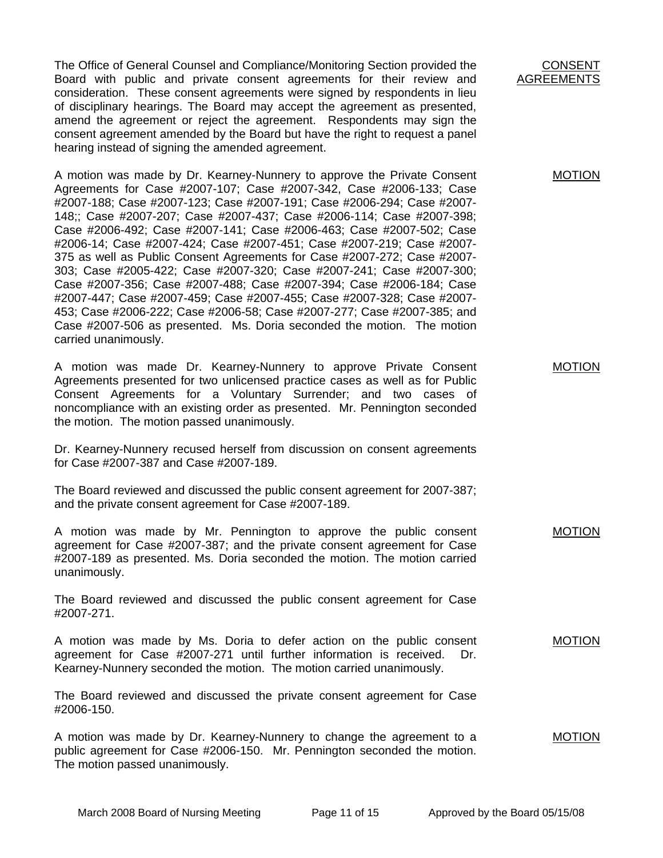The Office of General Counsel and Compliance/Monitoring Section provided the Board with public and private consent agreements for their review and consideration. These consent agreements were signed by respondents in lieu of disciplinary hearings. The Board may accept the agreement as presented, amend the agreement or reject the agreement. Respondents may sign the consent agreement amended by the Board but have the right to request a panel hearing instead of signing the amended agreement.

A motion was made by Dr. Kearney-Nunnery to approve the Private Consent Agreements for Case #2007-107; Case #2007-342, Case #2006-133; Case #2007-188; Case #2007-123; Case #2007-191; Case #2006-294; Case #2007- 148;; Case #2007-207; Case #2007-437; Case #2006-114; Case #2007-398; Case #2006-492; Case #2007-141; Case #2006-463; Case #2007-502; Case #2006-14; Case #2007-424; Case #2007-451; Case #2007-219; Case #2007- 375 as well as Public Consent Agreements for Case #2007-272; Case #2007- 303; Case #2005-422; Case #2007-320; Case #2007-241; Case #2007-300; Case #2007-356; Case #2007-488; Case #2007-394; Case #2006-184; Case #2007-447; Case #2007-459; Case #2007-455; Case #2007-328; Case #2007- 453; Case #2006-222; Case #2006-58; Case #2007-277; Case #2007-385; and Case #2007-506 as presented. Ms. Doria seconded the motion. The motion carried unanimously.

A motion was made Dr. Kearney-Nunnery to approve Private Consent Agreements presented for two unlicensed practice cases as well as for Public Consent Agreements for a Voluntary Surrender; and two cases of noncompliance with an existing order as presented. Mr. Pennington seconded the motion. The motion passed unanimously.

Dr. Kearney-Nunnery recused herself from discussion on consent agreements for Case #2007-387 and Case #2007-189.

The Board reviewed and discussed the public consent agreement for 2007-387; and the private consent agreement for Case #2007-189.

A motion was made by Mr. Pennington to approve the public consent agreement for Case #2007-387; and the private consent agreement for Case #2007-189 as presented. Ms. Doria seconded the motion. The motion carried unanimously.

The Board reviewed and discussed the public consent agreement for Case #2007-271.

A motion was made by Ms. Doria to defer action on the public consent agreement for Case #2007-271 until further information is received. Dr. Kearney-Nunnery seconded the motion. The motion carried unanimously. MOTION

The Board reviewed and discussed the private consent agreement for Case #2006-150.

A motion was made by Dr. Kearney-Nunnery to change the agreement to a public agreement for Case #2006-150. Mr. Pennington seconded the motion. The motion passed unanimously. MOTION

CONSENT AGREEMENTS

MOTION

MOTION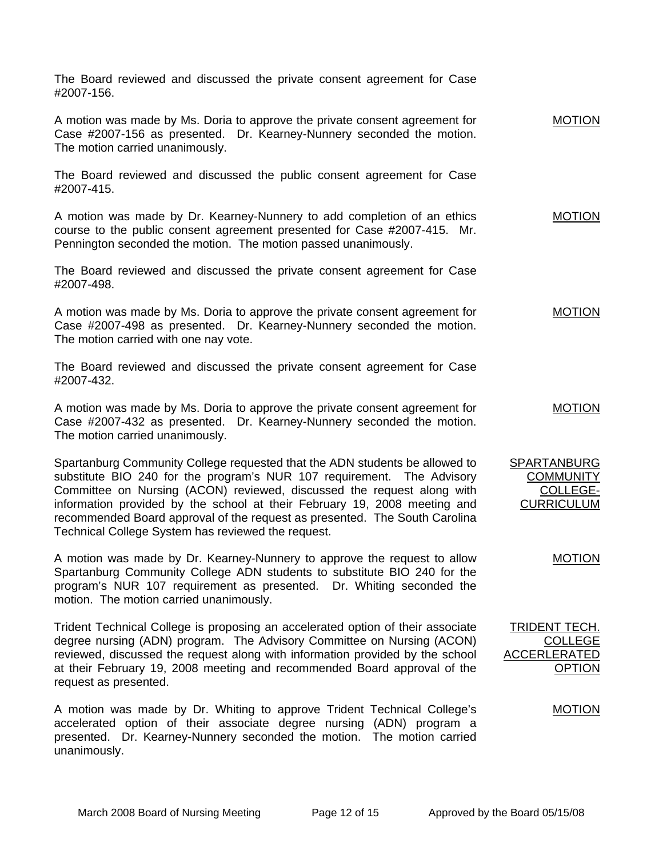The Board reviewed and discussed the private consent agreement for Case #2007-156.

A motion was made by Ms. Doria to approve the private consent agreement for Case #2007-156 as presented. Dr. Kearney-Nunnery seconded the motion. The motion carried unanimously. MOTION

The Board reviewed and discussed the public consent agreement for Case #2007-415.

A motion was made by Dr. Kearney-Nunnery to add completion of an ethics course to the public consent agreement presented for Case #2007-415. Mr. Pennington seconded the motion. The motion passed unanimously. MOTION

The Board reviewed and discussed the private consent agreement for Case #2007-498.

A motion was made by Ms. Doria to approve the private consent agreement for Case #2007-498 as presented. Dr. Kearney-Nunnery seconded the motion. The motion carried with one nay vote. MOTION

The Board reviewed and discussed the private consent agreement for Case #2007-432.

A motion was made by Ms. Doria to approve the private consent agreement for Case #2007-432 as presented. Dr. Kearney-Nunnery seconded the motion. The motion carried unanimously. MOTION

Spartanburg Community College requested that the ADN students be allowed to substitute BIO 240 for the program's NUR 107 requirement. The Advisory Committee on Nursing (ACON) reviewed, discussed the request along with information provided by the school at their February 19, 2008 meeting and recommended Board approval of the request as presented. The South Carolina Technical College System has reviewed the request.

A motion was made by Dr. Kearney-Nunnery to approve the request to allow Spartanburg Community College ADN students to substitute BIO 240 for the program's NUR 107 requirement as presented. Dr. Whiting seconded the motion. The motion carried unanimously.

Trident Technical College is proposing an accelerated option of their associate degree nursing (ADN) program. The Advisory Committee on Nursing (ACON) reviewed, discussed the request along with information provided by the school at their February 19, 2008 meeting and recommended Board approval of the request as presented.

A motion was made by Dr. Whiting to approve Trident Technical College's accelerated option of their associate degree nursing (ADN) program a presented. Dr. Kearney-Nunnery seconded the motion. The motion carried unanimously.

SPARTANBURG **COMMUNITY** COLLEGE-**CURRICULUM** 

TRIDENT TECH.

ACCERLERATED

COLLEGE

**OPTION** 

MOTION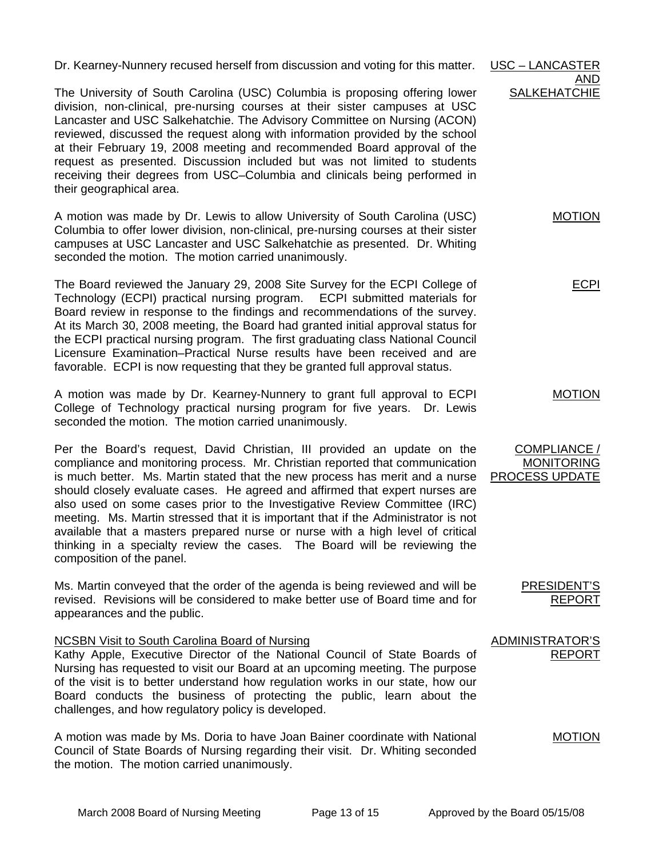Dr. Kearney-Nunnery recused herself from discussion and voting for this matter. USC – LANCASTER

The University of South Carolina (USC) Columbia is proposing offering lower division, non-clinical, pre-nursing courses at their sister campuses at USC Lancaster and USC Salkehatchie. The Advisory Committee on Nursing (ACON) reviewed, discussed the request along with information provided by the school at their February 19, 2008 meeting and recommended Board approval of the request as presented. Discussion included but was not limited to students receiving their degrees from USC–Columbia and clinicals being performed in their geographical area. **SALKEHATCHIE** 

A motion was made by Dr. Lewis to allow University of South Carolina (USC) Columbia to offer lower division, non-clinical, pre-nursing courses at their sister campuses at USC Lancaster and USC Salkehatchie as presented. Dr. Whiting seconded the motion. The motion carried unanimously. MOTION

The Board reviewed the January 29, 2008 Site Survey for the ECPI College of Technology (ECPI) practical nursing program. ECPI submitted materials for Board review in response to the findings and recommendations of the survey. At its March 30, 2008 meeting, the Board had granted initial approval status for the ECPI practical nursing program. The first graduating class National Council Licensure Examination–Practical Nurse results have been received and are favorable. ECPI is now requesting that they be granted full approval status.

A motion was made by Dr. Kearney-Nunnery to grant full approval to ECPI College of Technology practical nursing program for five years. Dr. Lewis seconded the motion. The motion carried unanimously.

Per the Board's request, David Christian, III provided an update on the compliance and monitoring process. Mr. Christian reported that communication is much better. Ms. Martin stated that the new process has merit and a nurse should closely evaluate cases. He agreed and affirmed that expert nurses are also used on some cases prior to the Investigative Review Committee (IRC) meeting. Ms. Martin stressed that it is important that if the Administrator is not available that a masters prepared nurse or nurse with a high level of critical thinking in a specialty review the cases. The Board will be reviewing the composition of the panel.

Ms. Martin conveyed that the order of the agenda is being reviewed and will be revised. Revisions will be considered to make better use of Board time and for appearances and the public.

NCSBN Visit to South Carolina Board of Nursing

Kathy Apple, Executive Director of the National Council of State Boards of Nursing has requested to visit our Board at an upcoming meeting. The purpose of the visit is to better understand how regulation works in our state, how our Board conducts the business of protecting the public, learn about the challenges, and how regulatory policy is developed.

A motion was made by Ms. Doria to have Joan Bainer coordinate with National Council of State Boards of Nursing regarding their visit. Dr. Whiting seconded the motion. The motion carried unanimously.

ECPI

AND

MOTION

COMPLIANCE / MONITORING PROCESS UPDATE

REPORT

PRESIDENT'S

ADMINISTRATOR'S REPORT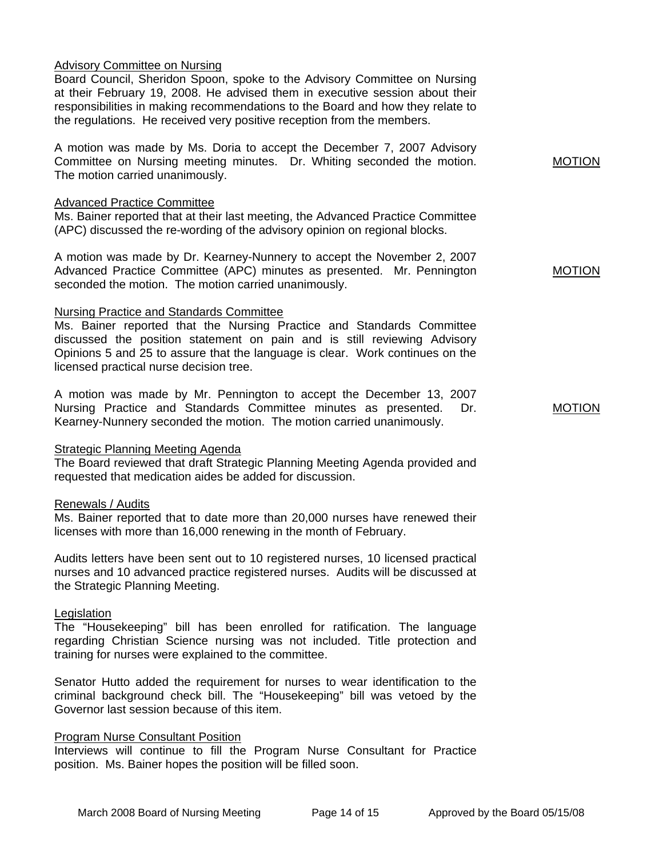## Advisory Committee on Nursing

Board Council, Sheridon Spoon, spoke to the Advisory Committee on Nursing at their February 19, 2008. He advised them in executive session about their responsibilities in making recommendations to the Board and how they relate to the regulations. He received very positive reception from the members.

A motion was made by Ms. Doria to accept the December 7, 2007 Advisory Committee on Nursing meeting minutes. Dr. Whiting seconded the motion. The motion carried unanimously.

### Advanced Practice Committee

Ms. Bainer reported that at their last meeting, the Advanced Practice Committee (APC) discussed the re-wording of the advisory opinion on regional blocks.

A motion was made by Dr. Kearney-Nunnery to accept the November 2, 2007 Advanced Practice Committee (APC) minutes as presented. Mr. Pennington seconded the motion. The motion carried unanimously.

### Nursing Practice and Standards Committee

Ms. Bainer reported that the Nursing Practice and Standards Committee discussed the position statement on pain and is still reviewing Advisory Opinions 5 and 25 to assure that the language is clear. Work continues on the licensed practical nurse decision tree.

A motion was made by Mr. Pennington to accept the December 13, 2007 Nursing Practice and Standards Committee minutes as presented. Dr. Kearney-Nunnery seconded the motion. The motion carried unanimously.

### Strategic Planning Meeting Agenda

The Board reviewed that draft Strategic Planning Meeting Agenda provided and requested that medication aides be added for discussion.

### Renewals / Audits

Ms. Bainer reported that to date more than 20,000 nurses have renewed their licenses with more than 16,000 renewing in the month of February.

Audits letters have been sent out to 10 registered nurses, 10 licensed practical nurses and 10 advanced practice registered nurses. Audits will be discussed at the Strategic Planning Meeting.

### Legislation

The "Housekeeping" bill has been enrolled for ratification. The language regarding Christian Science nursing was not included. Title protection and training for nurses were explained to the committee.

Senator Hutto added the requirement for nurses to wear identification to the criminal background check bill. The "Housekeeping" bill was vetoed by the Governor last session because of this item.

## Program Nurse Consultant Position

Interviews will continue to fill the Program Nurse Consultant for Practice position. Ms. Bainer hopes the position will be filled soon.

MOTION

MOTION